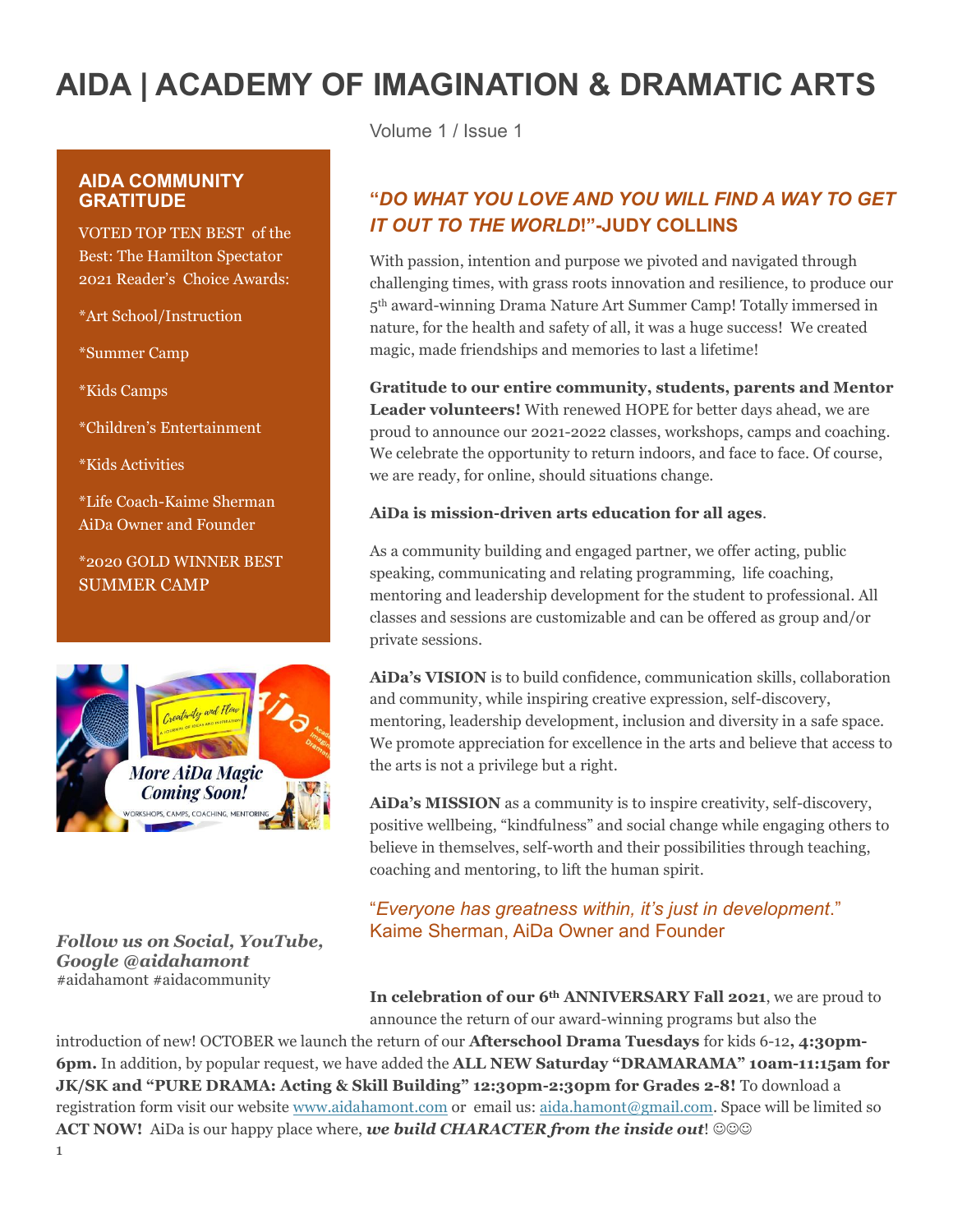# **AIDA | ACADEMY OF IMAGINATION & DRAMATIC ARTS**

#### **AIDA COMMUNITY GRATITUDE**

VOTED TOP TEN BEST of the Best: The Hamilton Spectator 2021 Reader's Choice Awards:

\*Art School/Instruction

\*Summer Camp

\*Kids Camps

\*Children's Entertainment

\*Kids Activities

\*Life Coach-Kaime Sherman AiDa Owner and Founder

#### \*2020 GOLD WINNER BEST SUMMER CAMP



#### *Follow us on Social, YouTube, Google @aidahamont* #aidahamont #aidacommunity

Volume 1 / Issue 1

# **"***DO WHAT YOU LOVE AND YOU WILL FIND A WAY TO GET IT OUT TO THE WORLD***!"-JUDY COLLINS**

With passion, intention and purpose we pivoted and navigated through challenging times, with grass roots innovation and resilience, to produce our 5th award-winning Drama Nature Art Summer Camp! Totally immersed in nature, for the health and safety of all, it was a huge success! We created magic, made friendships and memories to last a lifetime!

**Gratitude to our entire community, students, parents and Mentor Leader volunteers!** With renewed HOPE for better days ahead, we are proud to announce our 2021-2022 classes, workshops, camps and coaching. We celebrate the opportunity to return indoors, and face to face. Of course, we are ready, for online, should situations change.

#### **AiDa is mission-driven arts education for all ages**.

As a community building and engaged partner, we offer acting, public speaking, communicating and relating programming, life coaching, mentoring and leadership development for the student to professional. All classes and sessions are customizable and can be offered as group and/or private sessions.

**AiDa's VISION** is to build confidence, communication skills, collaboration and community, while inspiring creative expression, self-discovery, mentoring, leadership development, inclusion and diversity in a safe space. We promote appreciation for excellence in the arts and believe that access to the arts is not a privilege but a right.

**AiDa's MISSION** as a community is to inspire creativity, self-discovery, positive wellbeing, "kindfulness" and social change while engaging others to believe in themselves, self-worth and their possibilities through teaching, coaching and mentoring, to lift the human spirit.

#### "*Everyone has greatness within, it's just in development*." Kaime Sherman, AiDa Owner and Founder

**In celebration of our 6th ANNIVERSARY Fall 2021**, we are proud to announce the return of our award-winning programs but also the

introduction of new! OCTOBER we launch the return of our **Afterschool Drama Tuesdays** for kids 6-12**, 4:30pm-6pm.** In addition, by popular request, we have added the **ALL NEW Saturday "DRAMARAMA" 10am-11:15am for JK/SK and "PURE DRAMA: Acting & Skill Building" 12:30pm-2:30pm for Grades 2-8!** To download a registration form visit our website [www.aidahamont.com](http://www.aidahamont.com/) or email us: [aida.hamont@gmail.com.](mailto:aida.hamont@gmail.com) Space will be limited so **ACT NOW!** AiDa is our happy place where, *we build CHARACTER from the inside out*!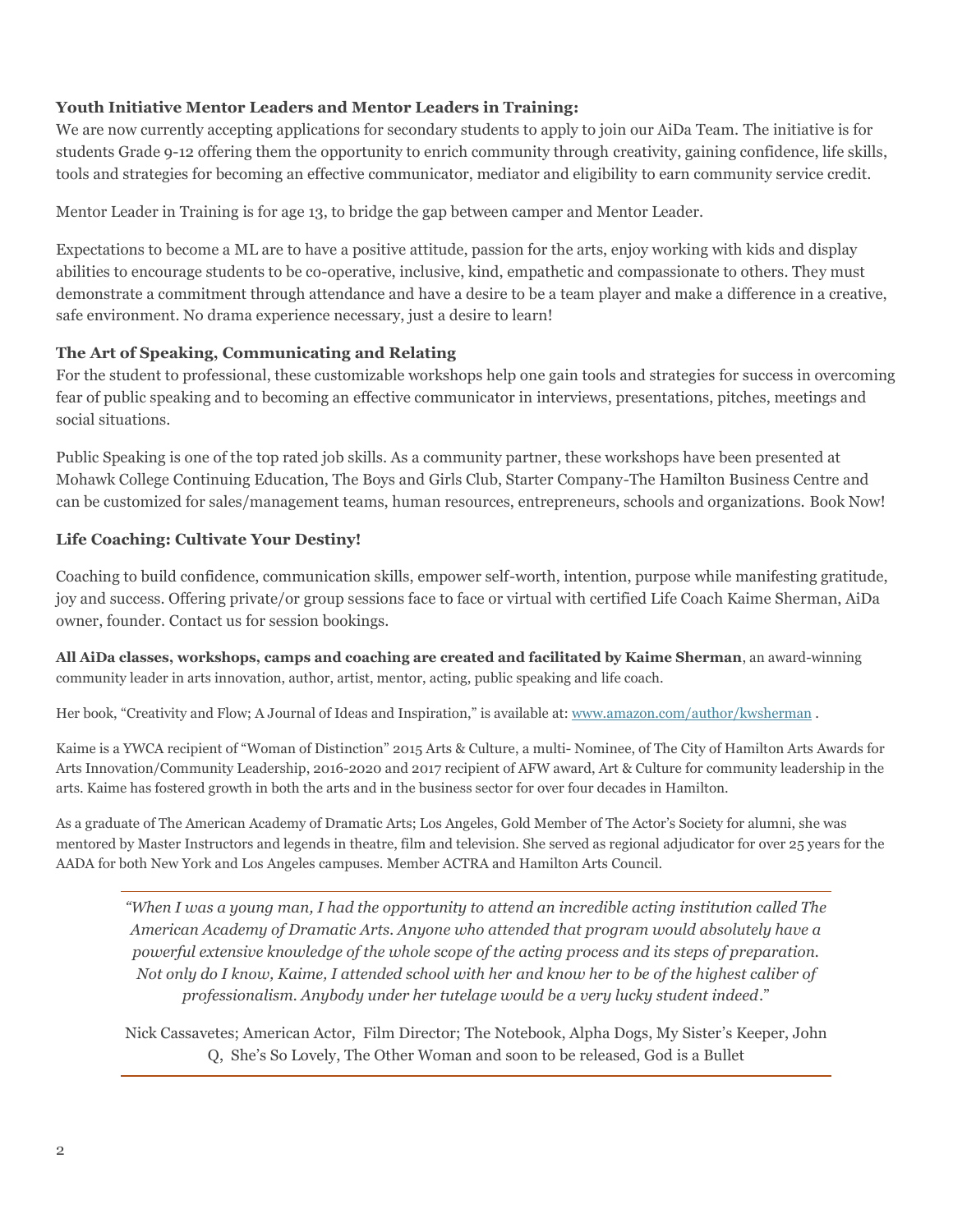#### **Youth Initiative Mentor Leaders and Mentor Leaders in Training:**

We are now currently accepting applications for secondary students to apply to join our AiDa Team. The initiative is for students Grade 9-12 offering them the opportunity to enrich community through creativity, gaining confidence, life skills, tools and strategies for becoming an effective communicator, mediator and eligibility to earn community service credit.

Mentor Leader in Training is for age 13, to bridge the gap between camper and Mentor Leader.

Expectations to become a ML are to have a positive attitude, passion for the arts, enjoy working with kids and display abilities to encourage students to be co-operative, inclusive, kind, empathetic and compassionate to others. They must demonstrate a commitment through attendance and have a desire to be a team player and make a difference in a creative, safe environment. No drama experience necessary, just a desire to learn!

#### **The Art of Speaking, Communicating and Relating**

For the student to professional, these customizable workshops help one gain tools and strategies for success in overcoming fear of public speaking and to becoming an effective communicator in interviews, presentations, pitches, meetings and social situations.

Public Speaking is one of the top rated job skills. As a community partner, these workshops have been presented at Mohawk College Continuing Education, The Boys and Girls Club, Starter Company-The Hamilton Business Centre and can be customized for sales/management teams, human resources, entrepreneurs, schools and organizations. Book Now!

#### **Life Coaching: Cultivate Your Destiny!**

Coaching to build confidence, communication skills, empower self-worth, intention, purpose while manifesting gratitude, joy and success. Offering private/or group sessions face to face or virtual with certified Life Coach Kaime Sherman, AiDa owner, founder. Contact us for session bookings.

**All AiDa classes, workshops, camps and coaching are created and facilitated by Kaime Sherman**, an award-winning community leader in arts innovation, author, artist, mentor, acting, public speaking and life coach.

Her book, "Creativity and Flow; A Journal of Ideas and Inspiration," is available at[: www.amazon.com/author/kwsherman](http://www.amazon.com/author/kwsherman) .

Kaime is a YWCA recipient of "Woman of Distinction" 2015 Arts & Culture, a multi- Nominee, of The City of Hamilton Arts Awards for Arts Innovation/Community Leadership, 2016-2020 and 2017 recipient of AFW award, Art & Culture for community leadership in the arts. Kaime has fostered growth in both the arts and in the business sector for over four decades in Hamilton.

As a graduate of The American Academy of Dramatic Arts; Los Angeles, Gold Member of The Actor's Society for alumni, she was mentored by Master Instructors and legends in theatre, film and television. She served as regional adjudicator for over 25 years for the AADA for both New York and Los Angeles campuses. Member ACTRA and Hamilton Arts Council.

*"When I was a young man, I had the opportunity to attend an incredible acting institution called The American Academy of Dramatic Arts. Anyone who attended that program would absolutely have a powerful extensive knowledge of the whole scope of the acting process and its steps of preparation. Not only do I know, Kaime, I attended school with her and know her to be of the highest caliber of professionalism. Anybody under her tutelage would be a very lucky student indeed*."

Nick Cassavetes; American Actor, Film Director; The Notebook, Alpha Dogs, My Sister's Keeper, John Q, She's So Lovely, The Other Woman and soon to be released, God is a Bullet